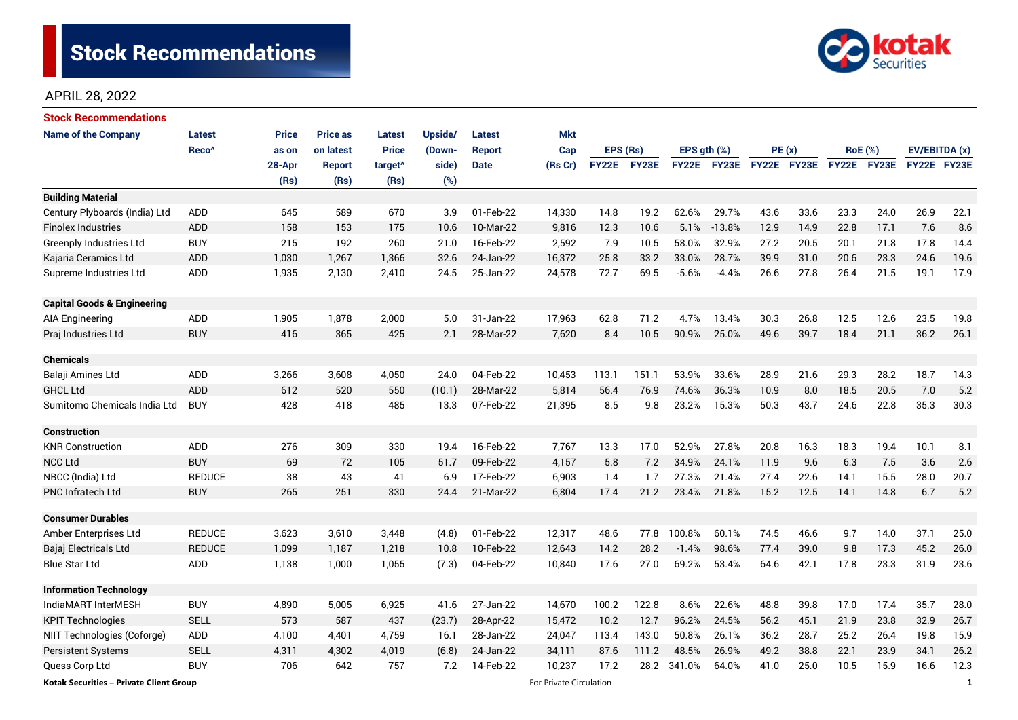# Stock Recommendations



# APRIL 28, 2022

| <b>Stock Recommendations</b>                   |                   |              |                 |                     |         |               |                         |          |             |                  |             |             |      |                |             |               |              |
|------------------------------------------------|-------------------|--------------|-----------------|---------------------|---------|---------------|-------------------------|----------|-------------|------------------|-------------|-------------|------|----------------|-------------|---------------|--------------|
| <b>Name of the Company</b>                     | <b>Latest</b>     | <b>Price</b> | <b>Price as</b> | <b>Latest</b>       | Upside/ | <b>Latest</b> | <b>Mkt</b>              |          |             |                  |             |             |      |                |             |               |              |
|                                                | Reco <sup>^</sup> | as on        | on latest       | <b>Price</b>        | (Down-  | Report        | Cap                     | EPS (Rs) |             | EPS $gth$ $(\%)$ |             | PE(x)       |      | <b>RoE</b> (%) |             | EV/EBITDA (x) |              |
|                                                |                   | 28-Apr       | <b>Report</b>   | target <sup>^</sup> | side)   | <b>Date</b>   | (Rs Cr)                 |          | FY22E FY23E |                  | FY22E FY23E | FY22E FY23E |      |                | FY22E FY23E | FY22E FY23E   |              |
|                                                |                   | (Rs)         | (Rs)            | (Rs)                | (%)     |               |                         |          |             |                  |             |             |      |                |             |               |              |
| <b>Building Material</b>                       |                   |              |                 |                     |         |               |                         |          |             |                  |             |             |      |                |             |               |              |
| Century Plyboards (India) Ltd                  | <b>ADD</b>        | 645          | 589             | 670                 | 3.9     | 01-Feb-22     | 14,330                  | 14.8     | 19.2        | 62.6%            | 29.7%       | 43.6        | 33.6 | 23.3           | 24.0        | 26.9          | 22.1         |
| <b>Finolex Industries</b>                      | <b>ADD</b>        | 158          | 153             | 175                 | 10.6    | 10-Mar-22     | 9,816                   | 12.3     | 10.6        | 5.1%             | $-13.8%$    | 12.9        | 14.9 | 22.8           | 17.1        | 7.6           | 8.6          |
| <b>Greenply Industries Ltd</b>                 | <b>BUY</b>        | 215          | 192             | 260                 | 21.0    | 16-Feb-22     | 2,592                   | 7.9      | 10.5        | 58.0%            | 32.9%       | 27.2        | 20.5 | 20.1           | 21.8        | 17.8          | 14.4         |
| Kajaria Ceramics Ltd                           | ADD               | 1,030        | 1,267           | 1,366               | 32.6    | 24-Jan-22     | 16,372                  | 25.8     | 33.2        | 33.0%            | 28.7%       | 39.9        | 31.0 | 20.6           | 23.3        | 24.6          | 19.6         |
| Supreme Industries Ltd                         | ADD               | 1,935        | 2,130           | 2,410               | 24.5    | 25-Jan-22     | 24,578                  | 72.7     | 69.5        | $-5.6%$          | $-4.4%$     | 26.6        | 27.8 | 26.4           | 21.5        | 19.1          | 17.9         |
| <b>Capital Goods &amp; Engineering</b>         |                   |              |                 |                     |         |               |                         |          |             |                  |             |             |      |                |             |               |              |
| AIA Engineering                                | <b>ADD</b>        | 1,905        | 1,878           | 2,000               | 5.0     | 31-Jan-22     | 17,963                  | 62.8     | 71.2        | 4.7%             | 13.4%       | 30.3        | 26.8 | 12.5           | 12.6        | 23.5          | 19.8         |
| Praj Industries Ltd                            | <b>BUY</b>        | 416          | 365             | 425                 | 2.1     | 28-Mar-22     | 7,620                   | 8.4      | 10.5        | 90.9%            | 25.0%       | 49.6        | 39.7 | 18.4           | 21.1        | 36.2          | 26.1         |
| <b>Chemicals</b>                               |                   |              |                 |                     |         |               |                         |          |             |                  |             |             |      |                |             |               |              |
| Balaji Amines Ltd                              | ADD               | 3,266        | 3,608           | 4,050               | 24.0    | 04-Feb-22     | 10,453                  | 113.1    | 151.1       | 53.9%            | 33.6%       | 28.9        | 21.6 | 29.3           | 28.2        | 18.7          | 14.3         |
| <b>GHCL Ltd</b>                                | ADD               | 612          | 520             | 550                 | (10.1)  | 28-Mar-22     | 5,814                   | 56.4     | 76.9        | 74.6%            | 36.3%       | 10.9        | 8.0  | 18.5           | 20.5        | 7.0           | 5.2          |
| Sumitomo Chemicals India Ltd                   | <b>BUY</b>        | 428          | 418             | 485                 | 13.3    | 07-Feb-22     | 21,395                  | 8.5      | 9.8         | 23.2%            | 15.3%       | 50.3        | 43.7 | 24.6           | 22.8        | 35.3          | 30.3         |
| <b>Construction</b>                            |                   |              |                 |                     |         |               |                         |          |             |                  |             |             |      |                |             |               |              |
| <b>KNR Construction</b>                        | ADD               | 276          | 309             | 330                 | 19.4    | 16-Feb-22     | 7,767                   | 13.3     | 17.0        | 52.9%            | 27.8%       | 20.8        | 16.3 | 18.3           | 19.4        | 10.1          | 8.1          |
| <b>NCC Ltd</b>                                 | <b>BUY</b>        | 69           | 72              | 105                 | 51.7    | 09-Feb-22     | 4,157                   | 5.8      | 7.2         | 34.9%            | 24.1%       | 11.9        | 9.6  | 6.3            | 7.5         | 3.6           | 2.6          |
| NBCC (India) Ltd                               | <b>REDUCE</b>     | 38           | 43              | 41                  | 6.9     | 17-Feb-22     | 6,903                   | 1.4      | 1.7         | 27.3%            | 21.4%       | 27.4        | 22.6 | 14.1           | 15.5        | 28.0          | 20.7         |
| <b>PNC Infratech Ltd</b>                       | <b>BUY</b>        | 265          | 251             | 330                 | 24.4    | 21-Mar-22     | 6,804                   | 17.4     | 21.2        | 23.4%            | 21.8%       | 15.2        | 12.5 | 14.1           | 14.8        | 6.7           | 5.2          |
| <b>Consumer Durables</b>                       |                   |              |                 |                     |         |               |                         |          |             |                  |             |             |      |                |             |               |              |
| Amber Enterprises Ltd                          | <b>REDUCE</b>     | 3,623        | 3,610           | 3,448               | (4.8)   | 01-Feb-22     | 12,317                  | 48.6     | 77.8        | 100.8%           | 60.1%       | 74.5        | 46.6 | 9.7            | 14.0        | 37.1          | 25.0         |
| Bajaj Electricals Ltd                          | <b>REDUCE</b>     | 1,099        | 1,187           | 1,218               | 10.8    | 10-Feb-22     | 12,643                  | 14.2     | 28.2        | $-1.4%$          | 98.6%       | 77.4        | 39.0 | 9.8            | 17.3        | 45.2          | 26.0         |
| <b>Blue Star Ltd</b>                           | ADD               | 1,138        | 1,000           | 1,055               | (7.3)   | 04-Feb-22     | 10,840                  | 17.6     | 27.0        | 69.2%            | 53.4%       | 64.6        | 42.1 | 17.8           | 23.3        | 31.9          | 23.6         |
| <b>Information Technology</b>                  |                   |              |                 |                     |         |               |                         |          |             |                  |             |             |      |                |             |               |              |
| IndiaMART InterMESH                            | <b>BUY</b>        | 4,890        | 5,005           | 6,925               | 41.6    | 27-Jan-22     | 14,670                  | 100.2    | 122.8       | 8.6%             | 22.6%       | 48.8        | 39.8 | 17.0           | 17.4        | 35.7          | 28.0         |
| <b>KPIT Technologies</b>                       | <b>SELL</b>       | 573          | 587             | 437                 | (23.7)  | 28-Apr-22     | 15,472                  | 10.2     | 12.7        | 96.2%            | 24.5%       | 56.2        | 45.1 | 21.9           | 23.8        | 32.9          | 26.7         |
| NIIT Technologies (Coforge)                    | ADD               | 4,100        | 4,401           | 4,759               | 16.1    | 28-Jan-22     | 24,047                  | 113.4    | 143.0       | 50.8%            | 26.1%       | 36.2        | 28.7 | 25.2           | 26.4        | 19.8          | 15.9         |
| <b>Persistent Systems</b>                      | <b>SELL</b>       | 4,311        | 4,302           | 4,019               | (6.8)   | 24-Jan-22     | 34,111                  | 87.6     | 111.2       | 48.5%            | 26.9%       | 49.2        | 38.8 | 22.1           | 23.9        | 34.1          | 26.2         |
| Quess Corp Ltd                                 | <b>BUY</b>        | 706          | 642             | 757                 | 7.2     | 14-Feb-22     | 10,237                  | 17.2     | 28.2        | 341.0%           | 64.0%       | 41.0        | 25.0 | 10.5           | 15.9        | 16.6          | 12.3         |
| <b>Kotak Securities - Private Client Group</b> |                   |              |                 |                     |         |               | For Private Circulation |          |             |                  |             |             |      |                |             |               | $\mathbf{1}$ |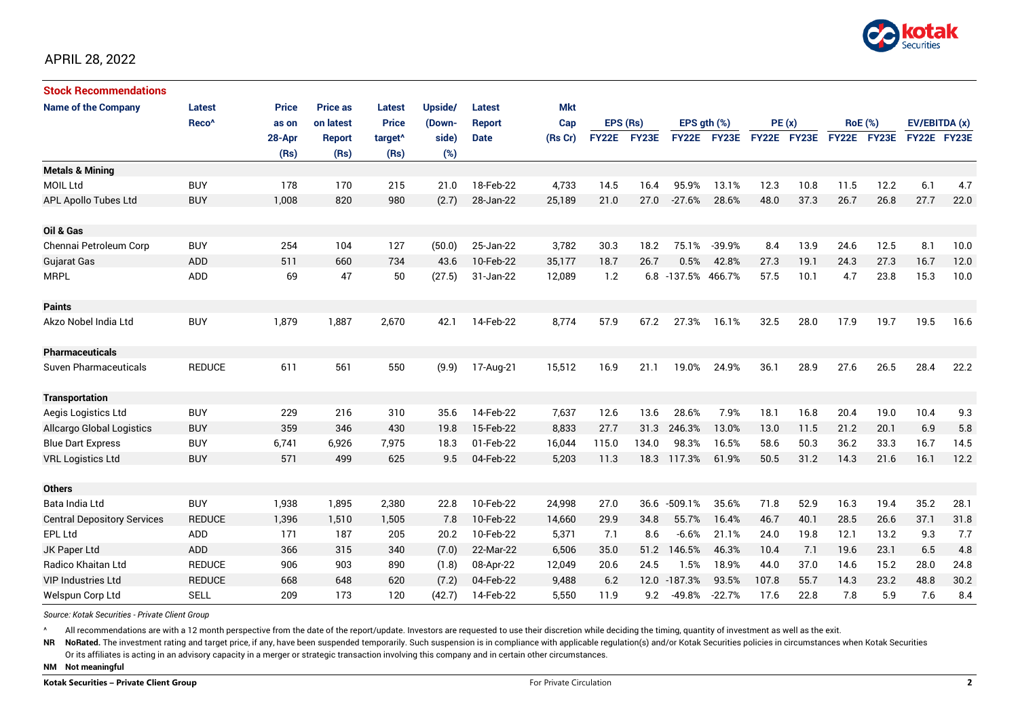

# APRIL 28, 2022

| <b>Stock Recommendations</b>       |                   |              |                 |                     |         |             |         |              |       |                  |          |             |      |                |             |               |      |
|------------------------------------|-------------------|--------------|-----------------|---------------------|---------|-------------|---------|--------------|-------|------------------|----------|-------------|------|----------------|-------------|---------------|------|
| <b>Name of the Company</b>         | Latest            | <b>Price</b> | <b>Price as</b> | <b>Latest</b>       | Upside/ | Latest      | Mkt     |              |       |                  |          |             |      |                |             |               |      |
|                                    | Reco <sup>^</sup> | as on        | on latest       | <b>Price</b>        | (Down-  | Report      | Cap     | EPS (Rs)     |       | EPS $gth$ $(\%)$ |          | PE(x)       |      | <b>RoE</b> (%) |             | EV/EBITDA (x) |      |
|                                    |                   | 28-Apr       | <b>Report</b>   | target <sup>^</sup> | side)   | <b>Date</b> | (Rs Cr) | <b>FY22E</b> | FY23E | <b>FY22E</b>     | FY23E    | FY22E FY23E |      |                | FY22E FY23E | FY22E FY23E   |      |
|                                    |                   | (Rs)         | (Rs)            | (Rs)                | (%)     |             |         |              |       |                  |          |             |      |                |             |               |      |
| <b>Metals &amp; Mining</b>         |                   |              |                 |                     |         |             |         |              |       |                  |          |             |      |                |             |               |      |
| MOIL Ltd                           | <b>BUY</b>        | 178          | 170             | 215                 | 21.0    | 18-Feb-22   | 4,733   | 14.5         | 16.4  | 95.9%            | 13.1%    | 12.3        | 10.8 | 11.5           | 12.2        | 6.1           | 4.7  |
| <b>APL Apollo Tubes Ltd</b>        | <b>BUY</b>        | 1,008        | 820             | 980                 | (2.7)   | 28-Jan-22   | 25,189  | 21.0         | 27.0  | $-27.6%$         | 28.6%    | 48.0        | 37.3 | 26.7           | 26.8        | 27.7          | 22.0 |
|                                    |                   |              |                 |                     |         |             |         |              |       |                  |          |             |      |                |             |               |      |
| Oil & Gas                          |                   |              |                 |                     |         |             |         |              |       |                  |          |             |      |                |             |               |      |
| Chennai Petroleum Corp             | <b>BUY</b>        | 254          | 104             | 127                 | (50.0)  | 25-Jan-22   | 3,782   | 30.3         | 18.2  | 75.1%            | $-39.9%$ | 8.4         | 13.9 | 24.6           | 12.5        | 8.1           | 10.0 |
| Gujarat Gas                        | <b>ADD</b>        | 511          | 660             | 734                 | 43.6    | 10-Feb-22   | 35,177  | 18.7         | 26.7  | 0.5%             | 42.8%    | 27.3        | 19.1 | 24.3           | 27.3        | 16.7          | 12.0 |
| <b>MRPL</b>                        | <b>ADD</b>        | 69           | 47              | 50                  | (27.5)  | 31-Jan-22   | 12,089  | 1.2          |       | 6.8 -137.5%      | 466.7%   | 57.5        | 10.1 | 4.7            | 23.8        | 15.3          | 10.0 |
| <b>Paints</b>                      |                   |              |                 |                     |         |             |         |              |       |                  |          |             |      |                |             |               |      |
| Akzo Nobel India Ltd               | <b>BUY</b>        | 1,879        | 1,887           | 2,670               | 42.1    | 14-Feb-22   | 8,774   | 57.9         | 67.2  | 27.3%            | 16.1%    | 32.5        | 28.0 | 17.9           | 19.7        | 19.5          | 16.6 |
| Pharmaceuticals                    |                   |              |                 |                     |         |             |         |              |       |                  |          |             |      |                |             |               |      |
| Suven Pharmaceuticals              | <b>REDUCE</b>     | 611          | 561             | 550                 | (9.9)   | 17-Aug-21   | 15,512  | 16.9         | 21.1  | 19.0%            | 24.9%    | 36.1        | 28.9 | 27.6           | 26.5        | 28.4          | 22.2 |
| <b>Transportation</b>              |                   |              |                 |                     |         |             |         |              |       |                  |          |             |      |                |             |               |      |
| Aegis Logistics Ltd                | <b>BUY</b>        | 229          | 216             | 310                 | 35.6    | 14-Feb-22   | 7,637   | 12.6         | 13.6  | 28.6%            | 7.9%     | 18.1        | 16.8 | 20.4           | 19.0        | 10.4          | 9.3  |
| <b>Allcargo Global Logistics</b>   | <b>BUY</b>        | 359          | 346             | 430                 | 19.8    | 15-Feb-22   | 8,833   | 27.7         | 31.3  | 246.3%           | 13.0%    | 13.0        | 11.5 | 21.2           | 20.1        | 6.9           | 5.8  |
| <b>Blue Dart Express</b>           | <b>BUY</b>        | 6,741        | 6,926           | 7,975               | 18.3    | 01-Feb-22   | 16,044  | 115.0        | 134.0 | 98.3%            | 16.5%    | 58.6        | 50.3 | 36.2           | 33.3        | 16.7          | 14.5 |
| <b>VRL Logistics Ltd</b>           | <b>BUY</b>        | 571          | 499             | 625                 | 9.5     | 04-Feb-22   | 5,203   | 11.3         | 18.3  | 117.3%           | 61.9%    | 50.5        | 31.2 | 14.3           | 21.6        | 16.1          | 12.2 |
|                                    |                   |              |                 |                     |         |             |         |              |       |                  |          |             |      |                |             |               |      |
| <b>Others</b>                      |                   |              |                 |                     |         |             |         |              |       |                  |          |             |      |                |             |               |      |
| Bata India Ltd                     | <b>BUY</b>        | 1,938        | 1,895           | 2,380               | 22.8    | 10-Feb-22   | 24,998  | 27.0         | 36.6  | $-509.1%$        | 35.6%    | 71.8        | 52.9 | 16.3           | 19.4        | 35.2          | 28.1 |
| <b>Central Depository Services</b> | <b>REDUCE</b>     | 1,396        | 1,510           | 1,505               | 7.8     | 10-Feb-22   | 14,660  | 29.9         | 34.8  | 55.7%            | 16.4%    | 46.7        | 40.1 | 28.5           | 26.6        | 37.1          | 31.8 |
| EPL Ltd                            | ADD               | 171          | 187             | 205                 | 20.2    | 10-Feb-22   | 5,371   | 7.1          | 8.6   | $-6.6%$          | 21.1%    | 24.0        | 19.8 | 12.1           | 13.2        | 9.3           | 7.7  |
| JK Paper Ltd                       | <b>ADD</b>        | 366          | 315             | 340                 | (7.0)   | 22-Mar-22   | 6,506   | 35.0         | 51.2  | 146.5%           | 46.3%    | 10.4        | 7.1  | 19.6           | 23.1        | 6.5           | 4.8  |
| <b>Radico Khaitan Ltd</b>          | <b>REDUCE</b>     | 906          | 903             | 890                 | (1.8)   | 08-Apr-22   | 12,049  | 20.6         | 24.5  | 1.5%             | 18.9%    | 44.0        | 37.0 | 14.6           | 15.2        | 28.0          | 24.8 |
| <b>VIP Industries Ltd</b>          | <b>REDUCE</b>     | 668          | 648             | 620                 | (7.2)   | 04-Feb-22   | 9,488   | 6.2          |       | 12.0 -187.3%     | 93.5%    | 107.8       | 55.7 | 14.3           | 23.2        | 48.8          | 30.2 |
| Welspun Corp Ltd                   | <b>SELL</b>       | 209          | 173             | 120                 | (42.7)  | 14-Feb-22   | 5,550   | 11.9         | 9.2   | $-49.8%$         | $-22.7%$ | 17.6        | 22.8 | 7.8            | 5.9         | 7.6           | 8.4  |

*Source: Kotak Securities - Private Client Group*

^ All recommendations are with a 12 month perspective from the date of the report/update. Investors are requested to use their discretion while deciding the timing, quantity of investment as well as the exit.

NR NoRated. The investment rating and target price, if any, have been suspended temporarily. Such suspension is in compliance with applicable regulation(s) and/or Kotak Securities policies in circumstances when Kotak Secur Or its affiliates is acting in an advisory capacity in a merger or strategic transaction involving this company and in certain other circumstances.

**NM Not meaningful**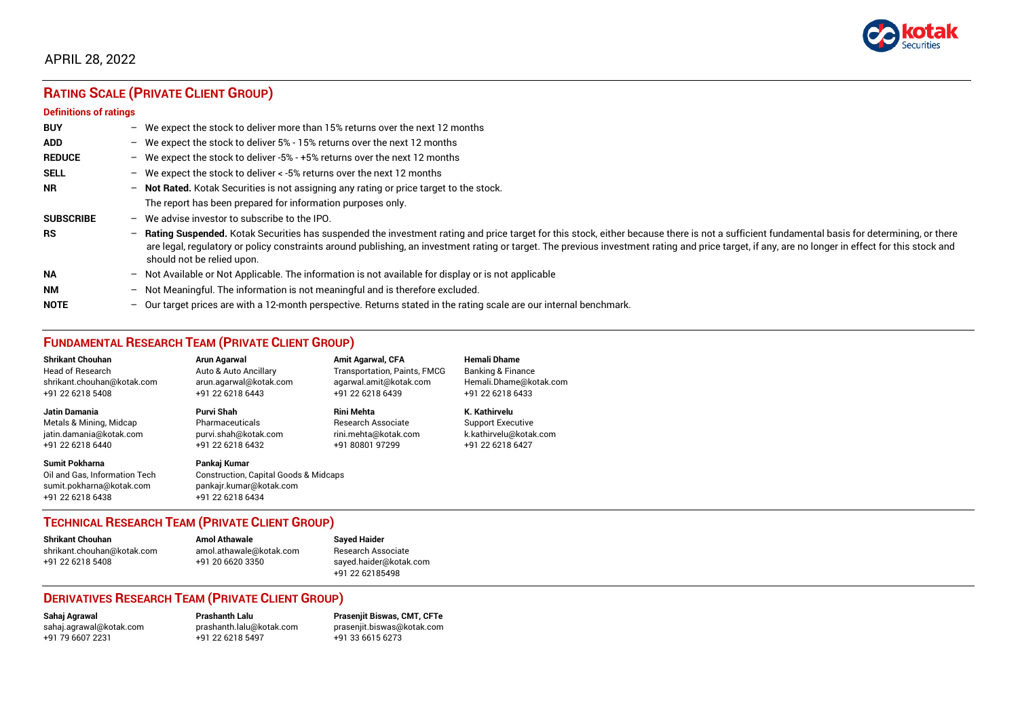

# APRIL 28, 2022

# **RATING SCALE (PRIVATE CLIENT GROUP)**

#### **Definitions of ratings**

| <b>BUY</b>       |                          | - We expect the stock to deliver more than 15% returns over the next 12 months                                                                                                                                                                                                                                                                                                                                                   |
|------------------|--------------------------|----------------------------------------------------------------------------------------------------------------------------------------------------------------------------------------------------------------------------------------------------------------------------------------------------------------------------------------------------------------------------------------------------------------------------------|
| <b>ADD</b>       |                          | - We expect the stock to deliver $5\%$ - 15% returns over the next 12 months                                                                                                                                                                                                                                                                                                                                                     |
| <b>REDUCE</b>    |                          | - We expect the stock to deliver -5% - +5% returns over the next 12 months                                                                                                                                                                                                                                                                                                                                                       |
| <b>SELL</b>      |                          | - We expect the stock to deliver $\lt$ -5% returns over the next 12 months                                                                                                                                                                                                                                                                                                                                                       |
| <b>NR</b>        |                          | - Not Rated. Kotak Securities is not assigning any rating or price target to the stock.                                                                                                                                                                                                                                                                                                                                          |
|                  |                          | The report has been prepared for information purposes only.                                                                                                                                                                                                                                                                                                                                                                      |
| <b>SUBSCRIBE</b> | $-$                      | We advise investor to subscribe to the IPO.                                                                                                                                                                                                                                                                                                                                                                                      |
| <b>RS</b>        | $\overline{\phantom{0}}$ | Rating Suspended. Kotak Securities has suspended the investment rating and price target for this stock, either because there is not a sufficient fundamental basis for determining, or there<br>are legal, regulatory or policy constraints around publishing, an investment rating or target. The previous investment rating and price target, if any, are no longer in effect for this stock and<br>should not be relied upon. |
| <b>NA</b>        |                          | - Not Available or Not Applicable. The information is not available for display or is not applicable                                                                                                                                                                                                                                                                                                                             |
| <b>NM</b>        | $\overline{\phantom{0}}$ | Not Meaningful. The information is not meaningful and is therefore excluded.                                                                                                                                                                                                                                                                                                                                                     |
| <b>NOTE</b>      |                          | - Our target prices are with a 12-month perspective. Returns stated in the rating scale are our internal benchmark.                                                                                                                                                                                                                                                                                                              |

# **FUNDAMENTAL RESEARCH TEAM (PRIVATE CLIENT GROUP)**

| <b>Shrikant Chouhan</b>                                                                                | <b>Arun Agarwal</b>                                                                                             | <b>Amit Agarwal, CFA</b>     | <b>Hemali Dhame</b>          |
|--------------------------------------------------------------------------------------------------------|-----------------------------------------------------------------------------------------------------------------|------------------------------|------------------------------|
| Head of Research                                                                                       | Auto & Auto Ancillary                                                                                           | Transportation, Paints, FMCG | <b>Banking &amp; Finance</b> |
| shrikant.chouhan@kotak.com                                                                             | arun.agarwal@kotak.com                                                                                          | agarwal.amit@kotak.com       | Hemali.Dhame@kotak.com       |
| +91 22 6218 5408                                                                                       | +91 22 6218 6443                                                                                                | +91 22 6218 6439             | +91 22 6218 6433             |
| <b>Jatin Damania</b>                                                                                   | Purvi Shah                                                                                                      | <b>Rini Mehta</b>            | K. Kathirvelu                |
| Metals & Mining, Midcap                                                                                | Pharmaceuticals                                                                                                 | Research Associate           | <b>Support Executive</b>     |
| jatin.damania@kotak.com                                                                                | purvi.shah@kotak.com                                                                                            | rini.mehta@kotak.com         | k.kathirvelu@kotak.com       |
| +91 22 6218 6440                                                                                       | +91 22 6218 6432                                                                                                | +91 80801 97299              | +91 22 6218 6427             |
| <b>Sumit Pokharna</b><br>Oil and Gas. Information Tech<br>sumit.pokharna@kotak.com<br>+91 22 6218 6438 | Pankaj Kumar<br><b>Construction, Capital Goods &amp; Midcaps</b><br>pankajr.kumar@kotak.com<br>+91 22 6218 6434 |                              |                              |

### **TECHNICAL RESEARCH TEAM (PRIVATE CLIENT GROUP)**

| <b>Shrikant Chouhan</b>    | <b>Amol Athawale</b>    | Sa |
|----------------------------|-------------------------|----|
| shrikant.chouhan@kotak.com | amol.athawale@kotak.com | R٤ |
| +91 22 6218 5408           | +91 20 6620 3350        | sa |
|                            |                         |    |

#### **Shrikant Chouhan Amol Athawale Sayed Haider** esearch Associate ayed.haider@kotak.com +91 22 62185498

### **DERIVATIVES RESEARCH TEAM (PRIVATE CLIENT GROUP)**

+91 22 6218 5497

**Sahaj Agrawal Prashanth Lalu Prasenjit Biswas, CMT, CFTe** [sahaj.agrawal@kotak.com](mailto:sahaj.agrawal@kotak.com) [prashanth.lalu@kotak.com](mailto:prashanth.lalu@kotak.com) [prasenjit.biswas@kotak.com](mailto:prasenjit.biswas@kotak.com)